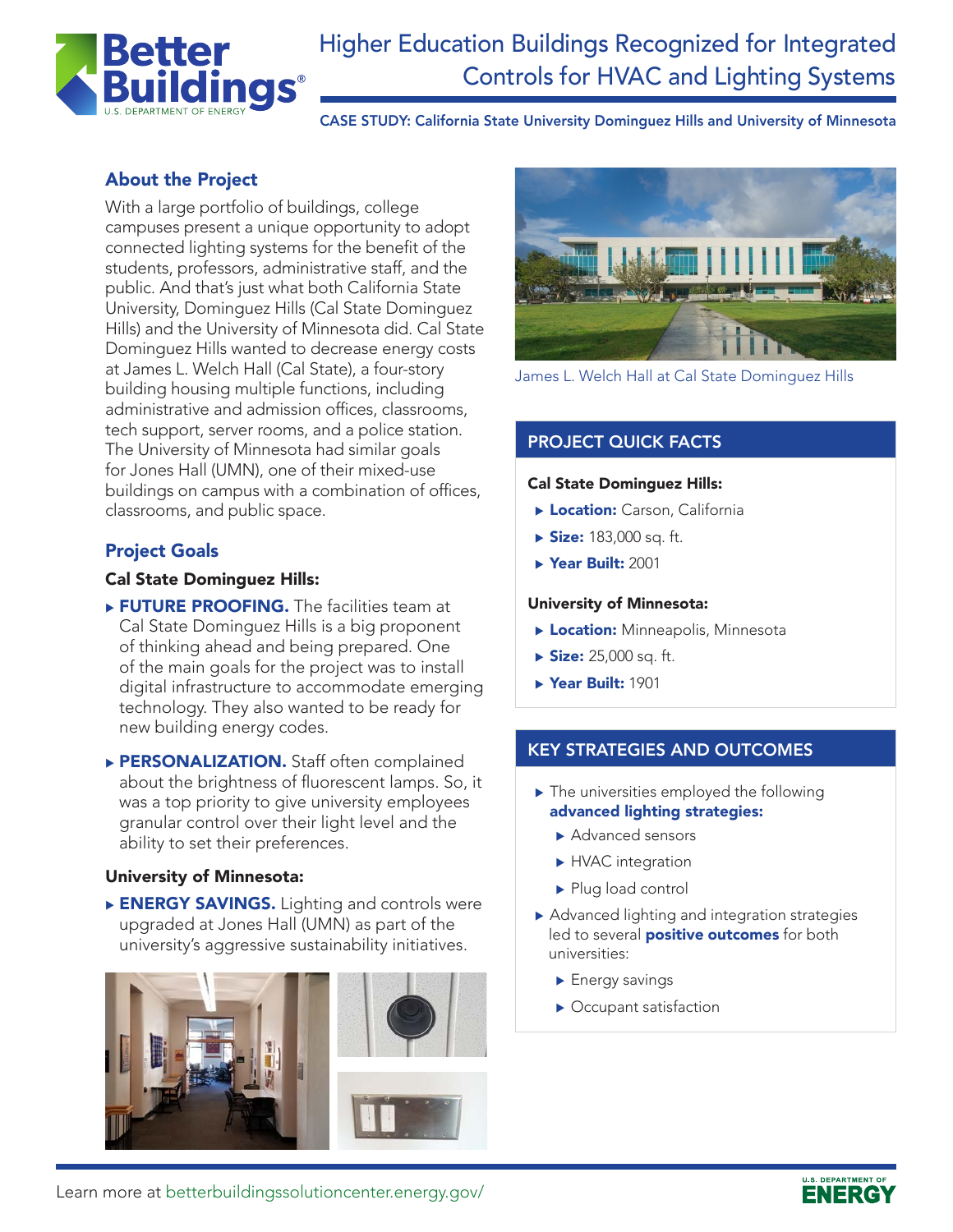

# Higher Education Buildings Recognized for Integrated Controls for HVAC and Lighting Systems

CASE STUDY: California State University Dominguez Hills and University of Minnesota

# About the Project

With a large portfolio of buildings, college campuses present a unique opportunity to adopt connected lighting systems for the benefit of the students, professors, administrative staff, and the public. And that's just what both California State University, Dominguez Hills (Cal State Dominguez Hills) and the University of Minnesota did. Cal State Dominguez Hills wanted to decrease energy costs at James L. Welch Hall (Cal State), a four-story building housing multiple functions, including administrative and admission offices, classrooms, tech support, server rooms, and a police station. The University of Minnesota had similar goals for Jones Hall (UMN), one of their mixed-use buildings on campus with a combination of offices, classrooms, and public space.

## Project Goals

#### Cal State Dominguez Hills:

- **FUTURE PROOFING.** The facilities team at Cal State Dominguez Hills is a big proponent of thinking ahead and being prepared. One of the main goals for the project was to install digital infrastructure to accommodate emerging technology. They also wanted to be ready for new building energy codes.
- PERSONALIZATION. Staff often complained about the brightness of fluorescent lamps. So, it was a top priority to give university employees granular control over their light level and the ability to set their preferences.

#### University of Minnesota:

ENERGY SAVINGS. Lighting and controls were upgraded at Jones Hall (UMN) as part of the university's aggressive sustainability initiatives.





James L. Welch Hall at Cal State Dominguez Hills

## PROJECT QUICK FACTS

#### Cal State Dominguez Hills:

- **Location:** Carson, California
- $\triangleright$  Size: 183,000 sq. ft.
- ▶ Year Built: 2001

#### University of Minnesota:

- **Location:** Minneapolis, Minnesota
- $\triangleright$  Size: 25,000 sq. ft.
- ▶ Year Built: 1901

#### KEY STRATEGIES AND OUTCOMES

- $\blacktriangleright$  The universities employed the following advanced lighting strategies:
	- Advanced sensors
	- $\blacktriangleright$  HVAC integration
	- $\blacktriangleright$  Plug load control
- $\blacktriangleright$  Advanced lighting and integration strategies led to several **positive outcomes** for both universities:
	- $\blacktriangleright$  Energy savings
	- $\blacktriangleright$  Occupant satisfaction

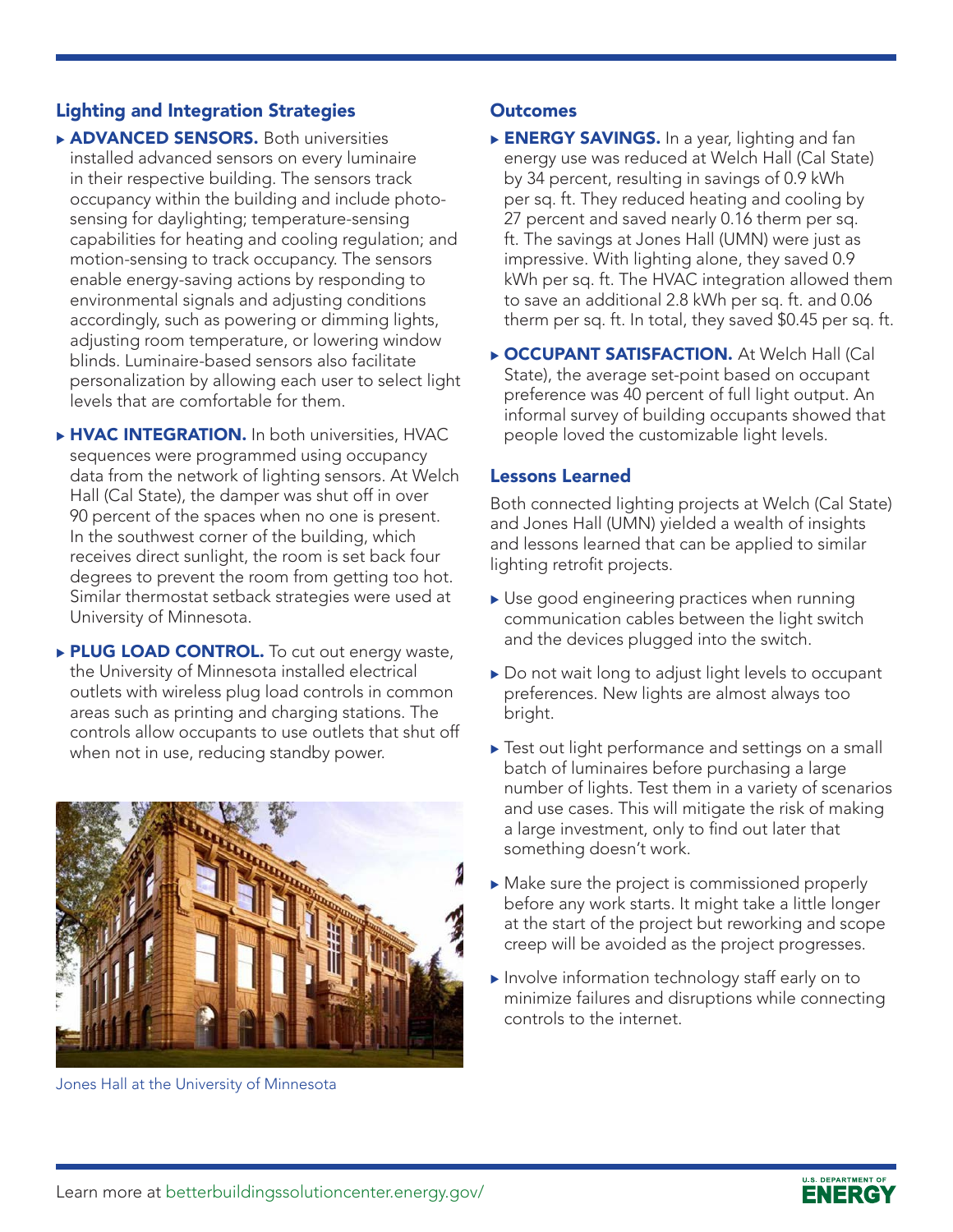## Lighting and Integration Strategies

- **ADVANCED SENSORS.** Both universities installed advanced sensors on every luminaire in their respective building. The sensors track occupancy within the building and include photosensing for daylighting; temperature-sensing capabilities for heating and cooling regulation; and motion-sensing to track occupancy. The sensors enable energy-saving actions by responding to environmental signals and adjusting conditions accordingly, such as powering or dimming lights, adjusting room temperature, or lowering window blinds. Luminaire-based sensors also facilitate personalization by allowing each user to select light levels that are comfortable for them.
- ▶ HVAC INTEGRATION. In both universities, HVAC sequences were programmed using occupancy data from the network of lighting sensors. At Welch Hall (Cal State), the damper was shut off in over 90 percent of the spaces when no one is present. In the southwest corner of the building, which receives direct sunlight, the room is set back four degrees to prevent the room from getting too hot. Similar thermostat setback strategies were used at University of Minnesota.
- ▶ PLUG LOAD CONTROL. To cut out energy waste, the University of Minnesota installed electrical outlets with wireless plug load controls in common areas such as printing and charging stations. The controls allow occupants to use outlets that shut off when not in use, reducing standby power.



Jones Hall at the University of Minnesota

### **Outcomes**

- **ENERGY SAVINGS.** In a year, lighting and fan energy use was reduced at Welch Hall (Cal State) by 34 percent, resulting in savings of 0.9 kWh per sq. ft. They reduced heating and cooling by 27 percent and saved nearly 0.16 therm per sq. ft. The savings at Jones Hall (UMN) were just as impressive. With lighting alone, they saved 0.9 kWh per sq. ft. The HVAC integration allowed them to save an additional 2.8 kWh per sq. ft. and 0.06 therm per sq. ft. In total, they saved \$0.45 per sq. ft.
- **DCCUPANT SATISFACTION.** At Welch Hall (Cal State), the average set-point based on occupant preference was 40 percent of full light output. An informal survey of building occupants showed that people loved the customizable light levels.

### Lessons Learned

Both connected lighting projects at Welch (Cal State) and Jones Hall (UMN) yielded a wealth of insights and lessons learned that can be applied to similar lighting retrofit projects.

- $\triangleright$  Use good engineering practices when running communication cables between the light switch and the devices plugged into the switch.
- Do not wait long to adjust light levels to occupant preferences. New lights are almost always too bright.
- $\triangleright$  Test out light performance and settings on a small batch of luminaires before purchasing a large number of lights. Test them in a variety of scenarios and use cases. This will mitigate the risk of making a large investment, only to find out later that something doesn't work.
- $\blacktriangleright$  Make sure the project is commissioned properly before any work starts. It might take a little longer at the start of the project but reworking and scope creep will be avoided as the project progresses.
- $\blacktriangleright$  Involve information technology staff early on to minimize failures and disruptions while connecting controls to the internet.